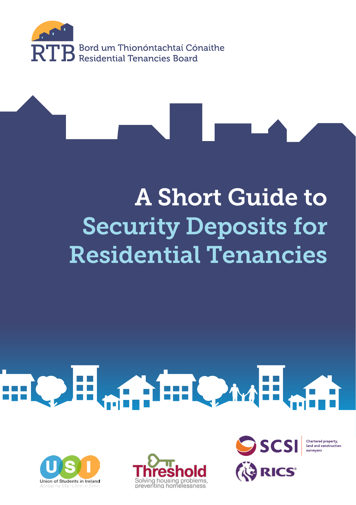

## A Short Guide to Security Deposits for Residential Tenancies

# HOH AHOMH





SCSI **RICS** 

Chartered property. land and constructi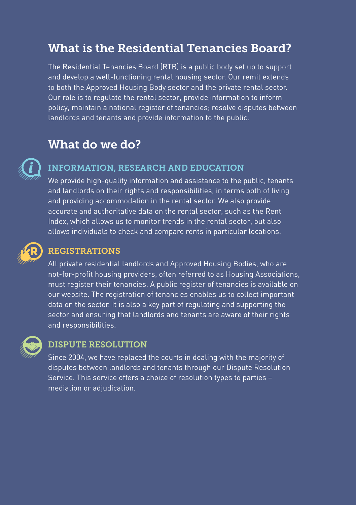#### What is the Residential Tenancies Board?

The Residential Tenancies Board (RTB) is a public body set up to support and develop a well-functioning rental housing sector. Our remit extends to both the Approved Housing Body sector and the private rental sector. Our role is to regulate the rental sector, provide information to inform policy, maintain a national register of tenancies; resolve disputes between landlords and tenants and provide information to the public.

#### What do we do?

#### INFORMATION, RESEARCH AND EDUCATION

We provide high-quality information and assistance to the public, tenants and landlords on their rights and responsibilities, in terms both of living and providing accommodation in the rental sector. We also provide accurate and authoritative data on the rental sector, such as the Rent Index, which allows us to monitor trends in the rental sector, but also allows individuals to check and compare rents in particular locations.

#### REGISTRATIONS

All private residential landlords and Approved Housing Bodies, who are not-for-profit housing providers, often referred to as Housing Associations, must register their tenancies. A public register of tenancies is available on our website. The registration of tenancies enables us to collect important data on the sector. It is also a key part of regulating and supporting the sector and ensuring that landlords and tenants are aware of their rights and responsibilities.



#### DISPUTE RESOLUTION

Since 2004, we have replaced the courts in dealing with the majority of disputes between landlords and tenants through our Dispute Resolution Service. This service offers a choice of resolution types to parties – mediation or adjudication.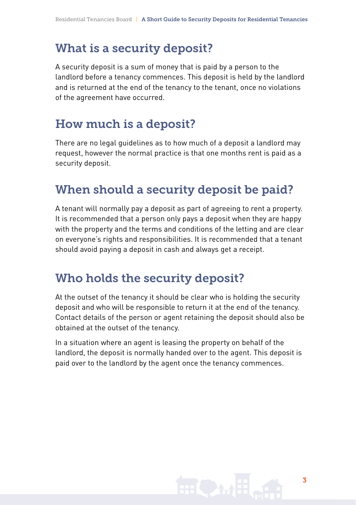### What is a security deposit?

A security deposit is a sum of money that is paid by a person to the landlord before a tenancy commences. This deposit is held by the landlord and is returned at the end of the tenancy to the tenant, once no violations of the agreement have occurred.

## How much is a deposit?

There are no legal guidelines as to how much of a deposit a landlord may request, however the normal practice is that one months rent is paid as a security deposit.

## When should a security deposit be paid?

A tenant will normally pay a deposit as part of agreeing to rent a property. It is recommended that a person only pays a deposit when they are happy with the property and the terms and conditions of the letting and are clear on everyone's rights and responsibilities. It is recommended that a tenant should avoid paying a deposit in cash and always get a receipt.

#### Who holds the security deposit?

At the outset of the tenancy it should be clear who is holding the security deposit and who will be responsible to return it at the end of the tenancy. Contact details of the person or agent retaining the deposit should also be obtained at the outset of the tenancy.

In a situation where an agent is leasing the property on behalf of the landlord, the deposit is normally handed over to the agent. This deposit is paid over to the landlord by the agent once the tenancy commences.

$$
\mathbf{H} \mathbf{Q} \mathbf{M} = \mathbf{M} \mathbf{M} \mathbf{M} \mathbf{M} \mathbf{M}
$$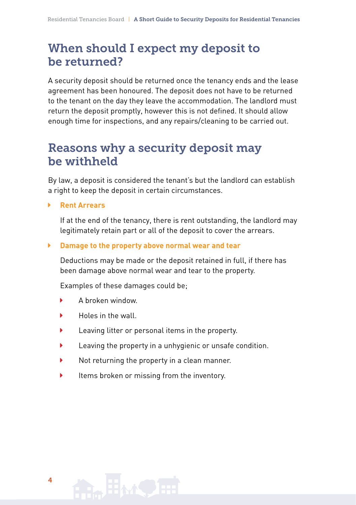#### When should I expect my deposit to be returned?

A security deposit should be returned once the tenancy ends and the lease agreement has been honoured. The deposit does not have to be returned to the tenant on the day they leave the accommodation. The landlord must return the deposit promptly, however this is not defined. It should allow enough time for inspections, and any repairs/cleaning to be carried out.

#### Reasons why a security deposit may be withheld

By law, a deposit is considered the tenant's but the landlord can establish a right to keep the deposit in certain circumstances.

**Rent Arrears**

If at the end of the tenancy, there is rent outstanding, the landlord may legitimately retain part or all of the deposit to cover the arrears.

#### **Damage to the property above normal wear and tear**

Deductions may be made or the deposit retained in full, if there has been damage above normal wear and tear to the property.

Examples of these damages could be;

- A broken window.
- Holes in the wall.
- Leaving litter or personal items in the property.
- Leaving the property in a unhygienic or unsafe condition.
- Not returning the property in a clean manner.
- $\blacktriangleright$  Items broken or missing from the inventory.

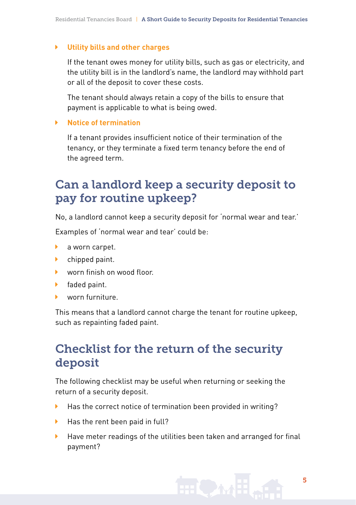#### **Utility bills and other charges**

If the tenant owes money for utility bills, such as gas or electricity, and the utility bill is in the landlord's name, the landlord may withhold part or all of the deposit to cover these costs.

The tenant should always retain a copy of the bills to ensure that payment is applicable to what is being owed.

#### **Notice of termination**

If a tenant provides insufficient notice of their termination of the tenancy, or they terminate a fixed term tenancy before the end of the agreed term.

#### Can a landlord keep a security deposit to pay for routine upkeep?

No, a landlord cannot keep a security deposit for 'normal wear and tear.'

Examples of 'normal wear and tear' could be:

- **a** worn carpet.
- **b** chipped paint.
- worn finish on wood floor.
- $\blacktriangleright$  faded paint.
- worn furniture.

This means that a landlord cannot charge the tenant for routine upkeep, such as repainting faded paint.

#### Checklist for the return of the security deposit

The following checklist may be useful when returning or seeking the return of a security deposit.

- ▶ Has the correct notice of termination been provided in writing?
- $\blacktriangleright$  Has the rent been paid in full?
- Have meter readings of the utilities been taken and arranged for final payment?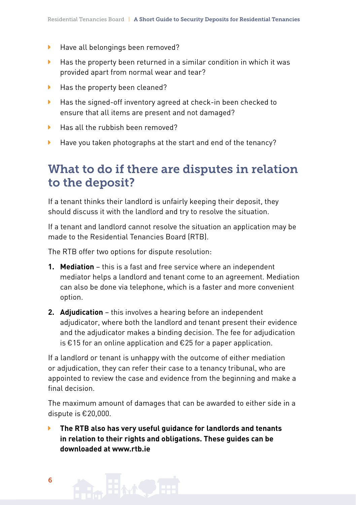- ▶ Have all belongings been removed?
- $\blacktriangleright$  Has the property been returned in a similar condition in which it was provided apart from normal wear and tear?
- ▶ Has the property been cleaned?
- ▶ Has the signed-off inventory agreed at check-in been checked to ensure that all items are present and not damaged?
- Has all the rubbish been removed?
- Have you taken photographs at the start and end of the tenancy?

#### What to do if there are disputes in relation to the deposit?

If a tenant thinks their landlord is unfairly keeping their deposit, they should discuss it with the landlord and try to resolve the situation.

If a tenant and landlord cannot resolve the situation an application may be made to the Residential Tenancies Board (RTB).

The RTB offer two options for dispute resolution:

- **1. Mediation** this is a fast and free service where an independent mediator helps a landlord and tenant come to an agreement. Mediation can also be done via telephone, which is a faster and more convenient option.
- **2. Adjudication** this involves a hearing before an independent adjudicator, where both the landlord and tenant present their evidence and the adjudicator makes a binding decision. The fee for adjudication is *€*15 for an online application and *€*25 for a paper application.

If a landlord or tenant is unhappy with the outcome of either mediation or adjudication, they can refer their case to a tenancy tribunal, who are appointed to review the case and evidence from the beginning and make a final decision.

The maximum amount of damages that can be awarded to either side in a dispute is *€*20,000.

 **The RTB also has very useful guidance for landlords and tenants in relation to their rights and obligations. These guides can be downloaded at www.rtb.ie**